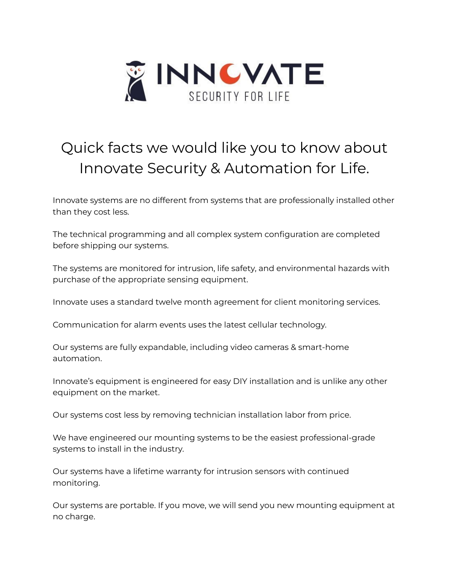

## Quick facts we would like you to know about Innovate Security & Automation for Life.

Innovate systems are no different from systems that are professionally installed other than they cost less.

The technical programming and all complex system configuration are completed before shipping our systems.

The systems are monitored for intrusion, life safety, and environmental hazards with purchase of the appropriate sensing equipment.

Innovate uses a standard twelve month agreement for client monitoring services.

Communication for alarm events uses the latest cellular technology.

Our systems are fully expandable, including video cameras & smart-home automation.

Innovate's equipment is engineered for easy DIY installation and is unlike any other equipment on the market.

Our systems cost less by removing technician installation labor from price.

We have engineered our mounting systems to be the easiest professional-grade systems to install in the industry.

Our systems have a lifetime warranty for intrusion sensors with continued monitoring.

Our systems are portable. If you move, we will send you new mounting equipment at no charge.